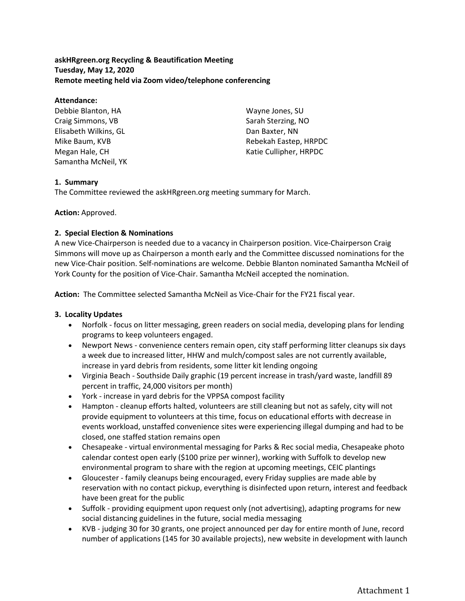**askHRgreen.org Recycling & Beautification Meeting Tuesday, May 12, 2020 Remote meeting held via Zoom video/telephone conferencing**

### **Attendance:**

Debbie Blanton, HA Craig Simmons, VB Elisabeth Wilkins, GL Mike Baum, KVB Megan Hale, CH Samantha McNeil, YK Wayne Jones, SU Sarah Sterzing, NO Dan Baxter, NN Rebekah Eastep, HRPDC Katie Cullipher, HRPDC

## **1. Summary**

The Committee reviewed the askHRgreen.org meeting summary for March.

# **Action:** Approved.

# **2. Special Election & Nominations**

A new Vice-Chairperson is needed due to a vacancy in Chairperson position. Vice-Chairperson Craig Simmons will move up as Chairperson a month early and the Committee discussed nominations for the new Vice-Chair position. Self-nominations are welcome. Debbie Blanton nominated Samantha McNeil of York County for the position of Vice-Chair. Samantha McNeil accepted the nomination.

**Action:** The Committee selected Samantha McNeil as Vice-Chair for the FY21 fiscal year.

## **3. Locality Updates**

- Norfolk focus on litter messaging, green readers on social media, developing plans for lending programs to keep volunteers engaged.
- Newport News convenience centers remain open, city staff performing litter cleanups six days a week due to increased litter, HHW and mulch/compost sales are not currently available, increase in yard debris from residents, some litter kit lending ongoing
- Virginia Beach Southside Daily graphic (19 percent increase in trash/yard waste, landfill 89 percent in traffic, 24,000 visitors per month)
- York increase in yard debris for the VPPSA compost facility
- Hampton cleanup efforts halted, volunteers are still cleaning but not as safely, city will not provide equipment to volunteers at this time, focus on educational efforts with decrease in events workload, unstaffed convenience sites were experiencing illegal dumping and had to be closed, one staffed station remains open
- Chesapeake virtual environmental messaging for Parks & Rec social media, Chesapeake photo calendar contest open early (\$100 prize per winner), working with Suffolk to develop new environmental program to share with the region at upcoming meetings, CEIC plantings
- Gloucester family cleanups being encouraged, every Friday supplies are made able by reservation with no contact pickup, everything is disinfected upon return, interest and feedback have been great for the public
- Suffolk providing equipment upon request only (not advertising), adapting programs for new social distancing guidelines in the future, social media messaging
- KVB judging 30 for 30 grants, one project announced per day for entire month of June, record number of applications (145 for 30 available projects), new website in development with launch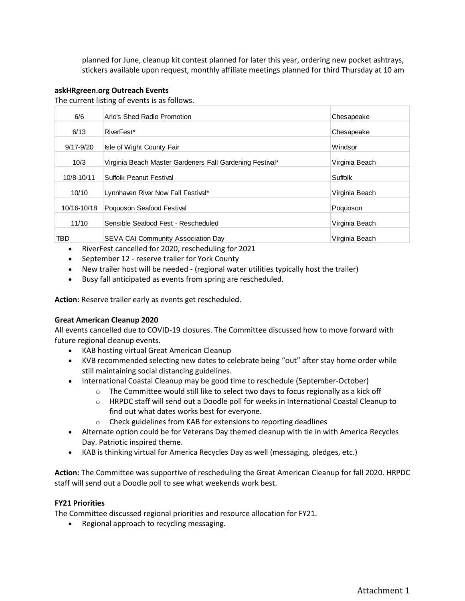planned for June, cleanup kit contest planned for later this year, ordering new pocket ashtrays, stickers available upon request, monthly affiliate meetings planned for third Thursday at 10 am

#### **askHRgreen.org Outreach Events**

The current listing of events is as follows.

| 6/6           | Arlo's Shed Radio Promotion                              | Chesapeake     |
|---------------|----------------------------------------------------------|----------------|
| 6/13          | RiverFest*                                               | Chesapeake     |
| $9/17 - 9/20$ | Isle of Wight County Fair                                | Windsor        |
| 10/3          | Virginia Beach Master Gardeners Fall Gardening Festival* | Virginia Beach |
| 10/8-10/11    | Suffolk Peanut Festival                                  | Suffolk        |
| 10/10         | Lynnhaven River Now Fall Festival*                       | Virginia Beach |
| 10/16-10/18   | Poquoson Seafood Festival                                | Poquoson       |
| 11/10         | Sensible Seafood Fest - Rescheduled                      | Virginia Beach |
| TBD           | SEVA CAI Community Association Day                       | Virginia Beach |
|               |                                                          |                |

- RiverFest cancelled for 2020, rescheduling for 2021
- September 12 reserve trailer for York County
- New trailer host will be needed (regional water utilities typically host the trailer)
- Busy fall anticipated as events from spring are rescheduled.

**Action:** Reserve trailer early as events get rescheduled.

#### **Great American Cleanup 2020**

All events cancelled due to COVID-19 closures. The Committee discussed how to move forward with future regional cleanup events.

- KAB hosting virtual Great American Cleanup
- KVB recommended selecting new dates to celebrate being "out" after stay home order while still maintaining social distancing guidelines.
- International Coastal Cleanup may be good time to reschedule (September-October)
	- $\circ$  The Committee would still like to select two days to focus regionally as a kick off
	- $\circ$  HRPDC staff will send out a Doodle poll for weeks in International Coastal Cleanup to find out what dates works best for everyone.
	- o Check guidelines from KAB for extensions to reporting deadlines
- Alternate option could be for Veterans Day themed cleanup with tie in with America Recycles Day. Patriotic inspired theme.
- KAB is thinking virtual for America Recycles Day as well (messaging, pledges, etc.)

**Action:** The Committee was supportive of rescheduling the Great American Cleanup for fall 2020. HRPDC staff will send out a Doodle poll to see what weekends work best.

## **FY21 Priorities**

The Committee discussed regional priorities and resource allocation for FY21.

• Regional approach to recycling messaging.